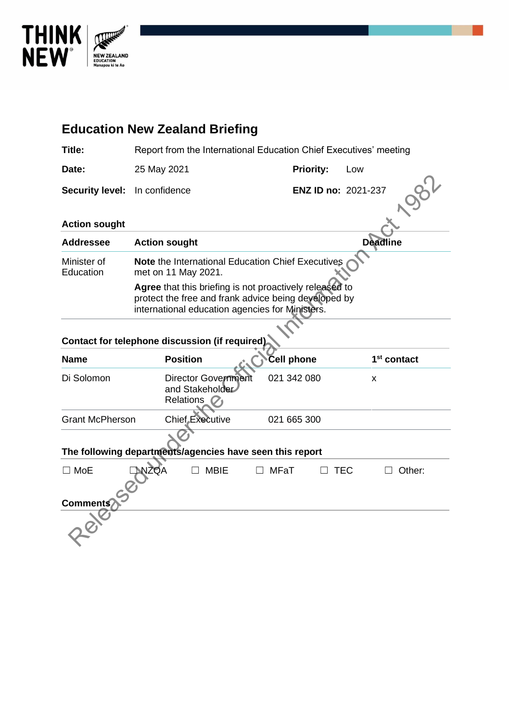

# **Education New Zealand Briefing**

| <b>Title:</b>                                            | Report from the International Education Chief Executives' meeting                                                                                                  |                     |                         |  |  |  |  |  |
|----------------------------------------------------------|--------------------------------------------------------------------------------------------------------------------------------------------------------------------|---------------------|-------------------------|--|--|--|--|--|
| Date:                                                    | 25 May 2021                                                                                                                                                        | <b>Priority:</b>    | Low                     |  |  |  |  |  |
| <b>Security level:</b>                                   | In confidence                                                                                                                                                      | ENZ ID no: 2021-237 |                         |  |  |  |  |  |
| <b>Action sought</b>                                     |                                                                                                                                                                    |                     |                         |  |  |  |  |  |
| <b>Addressee</b>                                         | <b>Action sought</b>                                                                                                                                               | <b>Deadline</b>     |                         |  |  |  |  |  |
| Minister of<br>Education                                 | Note the International Education Chief Executives<br>met on 11 May 2021.                                                                                           |                     |                         |  |  |  |  |  |
|                                                          | Agree that this briefing is not proactively released to<br>protect the free and frank advice being developed by<br>international education agencies for Ministers. |                     |                         |  |  |  |  |  |
|                                                          | Contact for telephone discussion (if required)                                                                                                                     |                     |                         |  |  |  |  |  |
| <b>Name</b>                                              | <b>Position</b>                                                                                                                                                    | <b>Cell phone</b>   | 1 <sup>st</sup> contact |  |  |  |  |  |
| Di Solomon                                               | <b>Director Government</b><br>and Stakeholder<br><b>Relations</b>                                                                                                  | 021 342 080         | x                       |  |  |  |  |  |
| <b>Grant McPherson</b>                                   | <b>Chief Executive</b>                                                                                                                                             | 021 665 300         |                         |  |  |  |  |  |
| The following departments/agencies have seen this report |                                                                                                                                                                    |                     |                         |  |  |  |  |  |
| $\square$ MoE                                            | NZOA<br><b>MBIE</b>                                                                                                                                                | <b>MFaT</b>         | <b>TEC</b><br>Other:    |  |  |  |  |  |
| <b>Comments</b>                                          |                                                                                                                                                                    |                     |                         |  |  |  |  |  |
|                                                          |                                                                                                                                                                    |                     |                         |  |  |  |  |  |

| $\square$ MoE   | <b>INZQA</b> | $\Box$ MBIE | $\Box$ MFaT | $\square$ TEC | Other:<br>$\perp$ |  |
|-----------------|--------------|-------------|-------------|---------------|-------------------|--|
|                 |              |             |             |               |                   |  |
| <b>Comments</b> |              |             |             |               |                   |  |
|                 |              |             |             |               |                   |  |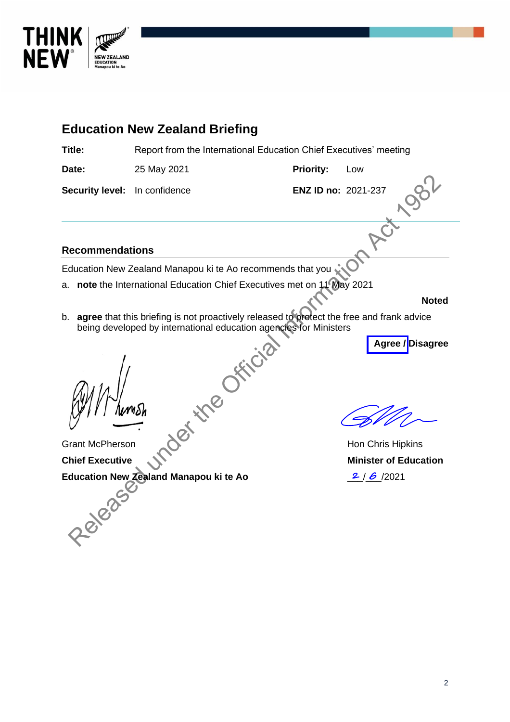

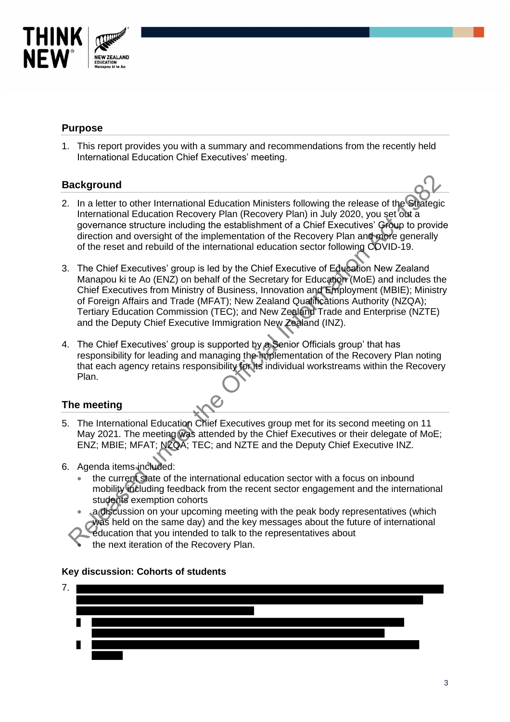

## **Purpose**

1. This report provides you with a summary and recommendations from the recently held International Education Chief Executives' meeting.

## **Background**

- 2. In a letter to other International Education Ministers following the release of the Strategic International Education Recovery Plan (Recovery Plan) in July 2020, you set out a governance structure including the establishment of a Chief Executives' Group to provide direction and oversight of the implementation of the Recovery Plan and more generally of the reset and rebuild of the international education sector following COVID-19.
- 3. The Chief Executives' group is led by the Chief Executive of Education New Zealand Manapou ki te Ao (ENZ) on behalf of the Secretary for Education (MoE) and includes the Chief Executives from Ministry of Business, Innovation and Employment (MBIE); Ministry of Foreign Affairs and Trade (MFAT); New Zealand Qualifications Authority (NZQA); Tertiary Education Commission (TEC); and New Zealand Trade and Enterprise (NZTE) and the Deputy Chief Executive Immigration New Zealand (INZ). ackground<br>
In a letter to other international Education Ministers following the release of the Grategy<br>
informational Education Recovery Plan (Recovery Plan) in July 2020, you set obt a<br>
governance stucture including the e
- 4. The Chief Executives' group is supported by a Senior Officials group' that has responsibility for leading and managing the implementation of the Recovery Plan noting that each agency retains responsibility for its individual workstreams within the Recovery Plan.

## **The meeting**

- 5. The International Education Chief Executives group met for its second meeting on 11 May 2021. The meeting was attended by the Chief Executives or their delegate of MoE; ENZ; MBIE; MFAT; NZQA; TEC; and NZTE and the Deputy Chief Executive INZ.
- 6. Agenda items included:
	- the current state of the international education sector with a focus on inbound mobility including feedback from the recent sector engagement and the international students exemption cohorts
	- a discussion on your upcoming meeting with the peak body representatives (which was held on the same day) and the key messages about the future of international
	- education that you intended to talk to the representatives about
	- the next iteration of the Recovery Plan.

#### **Key discussion: Cohorts of students**

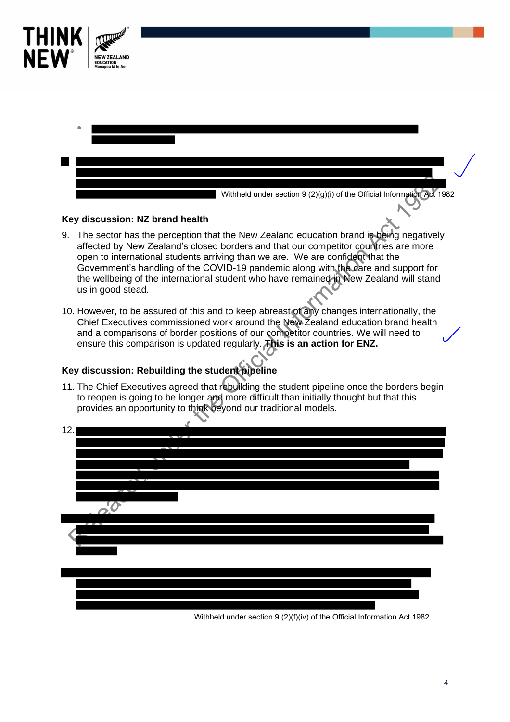

#### **Key discussion: NZ brand health**

THINK

**NFW** 

- 9. The sector has the perception that the New Zealand education brand is being negatively affected by New Zealand's closed borders and that our competitor countries are more open to international students arriving than we are. We are confident that the Government's handling of the COVID-19 pandemic along with the care and support for the wellbeing of the international student who have remained in New Zealand will stand us in good stead.
- 10. However, to be assured of this and to keep abreast of any changes internationally, the Chief Executives commissioned work around the New Zealand education brand health and a comparisons of border positions of our competitor countries. We will need to ensure this comparison is updated regularly. **This is an action for ENZ.**

## **Key discussion: Rebuilding the student pipeline**

11. The Chief Executives agreed that rebuilding the student pipeline once the borders begin to reopen is going to be longer and more difficult than initially thought but that this provides an opportunity to think beyond our traditional models.



Withheld under section 9 (2)(f)(iv) of the Official Information Act 1982